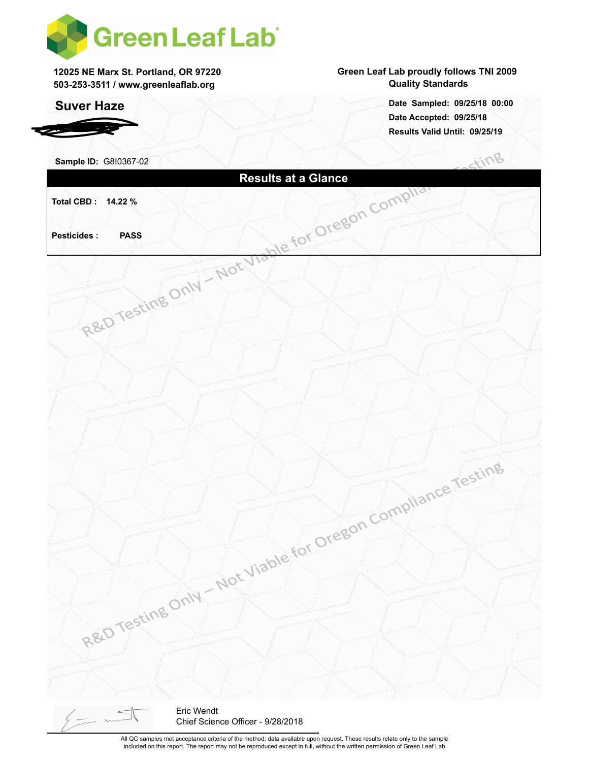

**12025 NE Marx St. Portland, OR 97220 503-253-3511 / www.greenleaflab.org**

### **Suver Haze**

*RDSP Farms*

#### **Green Leaf Lab proudly follows TNI 2009 Quality Standards**

**Date Accepted: 09/25/18 Results Valid Until: 09/25/19 Date Sampled: 09/25/18 00:00**

 $\sim 0$ 

| R&D Testing Only - Not Viable for Oregon Compliant |                  |                                   |  | Stillio                                  |
|----------------------------------------------------|------------------|-----------------------------------|--|------------------------------------------|
|                                                    |                  |                                   |  |                                          |
| Total CBD: 14.22 %                                 |                  |                                   |  |                                          |
|                                                    |                  |                                   |  |                                          |
| <b>Pesticides:</b>                                 |                  |                                   |  |                                          |
|                                                    |                  |                                   |  |                                          |
|                                                    |                  |                                   |  |                                          |
|                                                    |                  |                                   |  |                                          |
|                                                    |                  |                                   |  |                                          |
|                                                    |                  |                                   |  |                                          |
|                                                    |                  |                                   |  |                                          |
|                                                    |                  |                                   |  |                                          |
|                                                    |                  |                                   |  |                                          |
|                                                    |                  |                                   |  |                                          |
|                                                    |                  |                                   |  |                                          |
|                                                    |                  |                                   |  |                                          |
|                                                    |                  |                                   |  |                                          |
|                                                    |                  |                                   |  |                                          |
|                                                    |                  |                                   |  |                                          |
|                                                    |                  |                                   |  |                                          |
|                                                    |                  |                                   |  |                                          |
|                                                    |                  |                                   |  |                                          |
|                                                    |                  |                                   |  |                                          |
|                                                    |                  |                                   |  |                                          |
|                                                    |                  |                                   |  |                                          |
|                                                    |                  |                                   |  | Not Viable for Oregon Compliance Testing |
|                                                    |                  |                                   |  |                                          |
|                                                    |                  |                                   |  |                                          |
|                                                    |                  |                                   |  |                                          |
|                                                    | R&D Testing Only |                                   |  |                                          |
|                                                    |                  |                                   |  |                                          |
|                                                    |                  |                                   |  |                                          |
|                                                    |                  |                                   |  |                                          |
| $\frac{1}{2}$                                      | Eric Wendt       | Chief Science Officer - 9/28/2018 |  |                                          |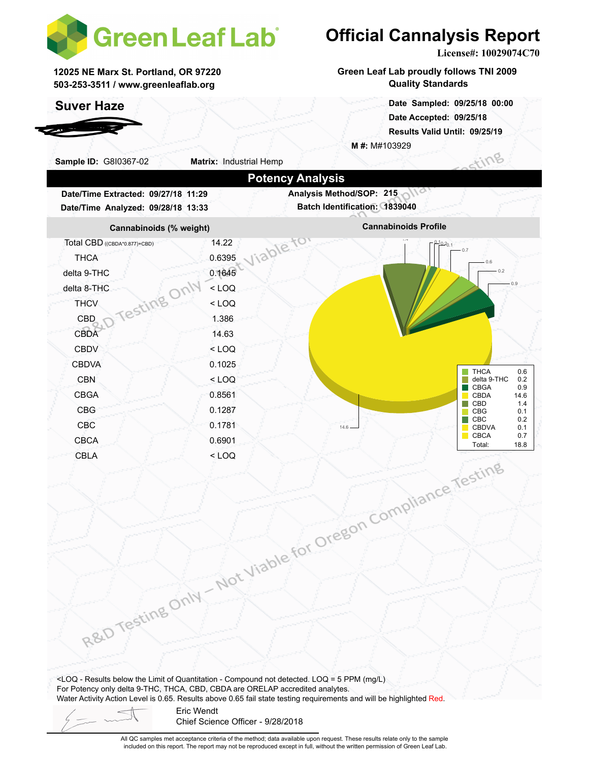

**12025 NE Marx St. Portland, OR 97220 503-253-3511 / www.greenleaflab.org**

### **Suver Haze**

*RDSP Farms*

# **Official Cannalysis Report**

**License#: 10029074C70**

**Green Leaf Lab proudly follows TNI 2009 Quality Standards**

> **Date Accepted: 09/25/18 Results Valid Until: 09/25/19 Date Sampled: 09/25/18 00:00**

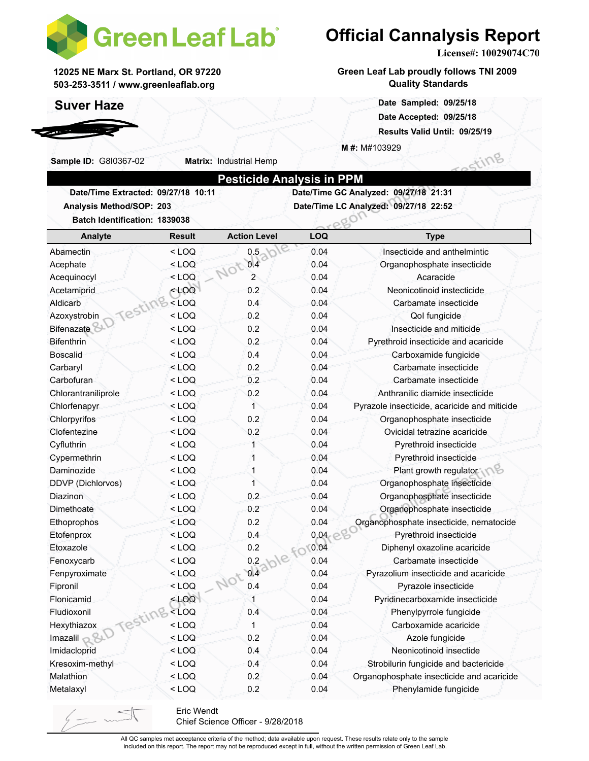

**Matrix:** Industrial Hemp

**12025 NE Marx St. Portland, OR 97220 503-253-3511 / www.greenleaflab.org**

### **Suver Haze**

*RDSP Farms*

**Sample ID:** G8I0367-02

# **Official Cannalysis Report**

**License#: 10029074C70**

ting

**Green Leaf Lab proudly follows TNI 2009 Quality Standards**

> **Date Sampled: 09/25/18 00:00 Date Accepted: 09/25/18 Results Valid Until: 09/25/19**

**M #:** M#103929

|                                     | <b>Pesticide Analysis in PPM</b>      |
|-------------------------------------|---------------------------------------|
| Date/Time Extracted: 09/27/18 10:11 | Date/Time GC Analyzed: 09/27/18 21:31 |
| Analysis Method/SOP: 203            | Date/Time LC Analyzed: 09/27/18 22:52 |
| Detak Identification: 4000000       |                                       |

| Batch Identification: 1839038 |                                                                    |                     |            | PRU'                                         |  |  |
|-------------------------------|--------------------------------------------------------------------|---------------------|------------|----------------------------------------------|--|--|
| Analyte                       | <b>Result</b>                                                      | <b>Action Level</b> | <b>LOQ</b> | <b>Type</b>                                  |  |  |
| Abamectin                     | $<$ LOQ                                                            | 0.5                 | 0.04       | Insecticide and anthelmintic                 |  |  |
| Acephate                      | $<$ LOQ                                                            | 0.4<br>Not          | 0.04       | Organophosphate insecticide                  |  |  |
| Acequinocyl                   | $<$ LOQ                                                            | 2                   | 0.04       | Acaracide                                    |  |  |
| Acetamiprid                   | 100                                                                | 0.2                 | 0.04       | Neonicotinoid instecticide                   |  |  |
| Testing<br>Aldicarb           | $<$ LOQ                                                            | 0.4                 | 0.04       | Carbamate insecticide                        |  |  |
| Azoxystrobin                  | <loq< td=""><td>0.2</td><td>0.04</td><td>Qol fungicide</td></loq<> | 0.2                 | 0.04       | Qol fungicide                                |  |  |
| <b>Bifenazate</b>             | $<$ LOQ                                                            | 0.2                 | 0.04       | Insecticide and miticide                     |  |  |
| Bifenthrin                    | $<$ LOQ                                                            | 0.2                 | 0.04       | Pyrethroid insecticide and acaricide         |  |  |
| <b>Boscalid</b>               | $<$ LOQ                                                            | 0.4                 | 0.04       | Carboxamide fungicide                        |  |  |
| Carbaryl                      | $<$ LOQ                                                            | 0.2                 | 0.04       | Carbamate insecticide                        |  |  |
| Carbofuran                    | < LOQ                                                              | 0.2                 | 0.04       | Carbamate insecticide                        |  |  |
| Chlorantraniliprole           | < LOQ                                                              | 0.2                 | 0.04       | Anthranilic diamide insecticide              |  |  |
| Chlorfenapyr                  | $<$ LOQ                                                            | $\mathbf{1}$        | 0.04       | Pyrazole insecticide, acaricide and miticide |  |  |
| Chlorpyrifos                  | < LOQ                                                              | 0.2                 | 0.04       | Organophosphate insecticide                  |  |  |
| Clofentezine                  | $<$ LOQ                                                            | 0.2                 | 0.04       | Ovicidal tetrazine acaricide                 |  |  |
| Cyfluthrin                    | $<$ LOQ                                                            | 1                   | 0.04       | Pyrethroid insecticide                       |  |  |
| Cypermethrin                  | $<$ LOQ                                                            | 1                   | 0.04       | Pyrethroid insecticide                       |  |  |
| Daminozide                    | $<$ LOQ                                                            | 1                   | 0.04       | Plant growth regulator                       |  |  |
| DDVP (Dichlorvos)             | $<$ LOQ                                                            | 1                   | 0.04       | Organophosphate insecticide                  |  |  |
| Diazinon                      | $<$ LOQ                                                            | 0.2                 | 0.04       | Organophosphate insecticide                  |  |  |
| Dimethoate                    | $<$ LOQ                                                            | 0.2                 | 0.04       | Organophosphate insecticide                  |  |  |
| Ethoprophos                   | $<$ LOQ                                                            | 0.2                 | 0.04       | Organophosphate insecticide, nematocide      |  |  |
| Etofenprox                    | < LOQ                                                              | 0.4                 | 0.04       | Pyrethroid insecticide                       |  |  |
| Etoxazole                     | $<$ LOQ                                                            | 0.2                 | 0.04<br>£O | Diphenyl oxazoline acaricide                 |  |  |
| Fenoxycarb                    | $<$ LOQ                                                            |                     | 0.04       | Carbamate insecticide                        |  |  |
| Fenpyroximate                 | $<$ LOQ                                                            | $04a$ ble           | 0.04       | Pyrazolium insecticide and acaricide         |  |  |
| Fipronil                      | $<$ LOQ                                                            | 0.4                 | 0.04       | Pyrazole insecticide                         |  |  |
| Flonicamid                    | $<$ LOQ                                                            | 1                   | 0.04       | Pyridinecarboxamide insecticide              |  |  |
| Fludioxonil<br>Testing        | $<$ LOQ                                                            | 0.4                 | 0.04       | Phenylpyrrole fungicide                      |  |  |
| Hexythiazox                   | $<$ LOQ                                                            | $\mathbf{1}$        | 0.04       | Carboxamide acaricide                        |  |  |
| Imazalil $\mathbb{R}^{8D}$    | $<$ LOQ                                                            | 0.2                 | 0.04       | Azole fungicide                              |  |  |
| Imidacloprid                  | $<$ LOQ                                                            | 0.4                 | 0.04       | Neonicotinoid insectide                      |  |  |
| Kresoxim-methyl               | $<$ LOQ                                                            | 0.4                 | 0.04       | Strobilurin fungicide and bactericide        |  |  |
| Malathion                     | $<$ LOQ                                                            | 0.2                 | 0.04       | Organophosphate insecticide and acaricide    |  |  |
| Metalaxyl                     | $<$ LOQ                                                            | 0.2                 | 0.04       | Phenylamide fungicide                        |  |  |

Eric Wendt Chief Science Officer - 9/28/2018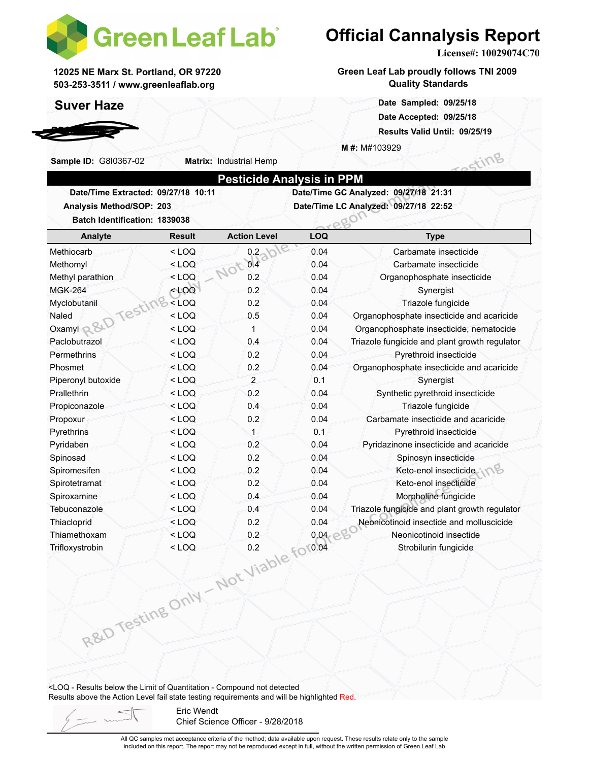

**Matrix:** Industrial Hemp

**12025 NE Marx St. Portland, OR 97220 503-253-3511 / www.greenleaflab.org**

### **Suver Haze**

*RDSP Farms*

**Sample ID:** G8I0367-02

**Official Cannalysis Report**

**License#: 10029074C70**

Sting

**Green Leaf Lab proudly follows TNI 2009 Quality Standards**

> **Date Sampled: 09/25/18 00:00 Date Accepted: 09/25/18 Results Valid Until: 09/25/19**

**M #:** M#103929

|                                     | <b>Pesticide Analysis in PPM</b>      |
|-------------------------------------|---------------------------------------|
| Date/Time Extracted: 09/27/18 10:11 | Date/Time GC Analyzed: 09/27/18 21:31 |
| <b>Analysis Method/SOP: 203</b>     | Date/Time LC Analyzed: 09/27/18 22:52 |
| Detak Identification: 4000000       |                                       |

| Batch Identification: 1839038 |               |                     |            | eeur                                          |
|-------------------------------|---------------|---------------------|------------|-----------------------------------------------|
| Analyte                       | <b>Result</b> | <b>Action Level</b> | <b>LOQ</b> | <b>Type</b>                                   |
| Methiocarb                    | $<$ LOQ       | 0.2                 | 0.04       | Carbamate insecticide                         |
| Methomyl                      | $<$ LOQ       | 0.4                 | 0.04       | Carbamate insecticide                         |
| Methyl parathion              | $<$ LOQ       | 0.2                 | 0.04       | Organophosphate insecticide                   |
| <b>MGK-264</b>                | $<$ LOQ       | 0.2                 | 0.04       | Synergist                                     |
| Myclobutanil                  | $<$ LOQ       | 0.2                 | 0.04       | Triazole fungicide                            |
| Testl<br>Naled                | $<$ LOQ       | 0.5                 | 0.04       | Organophosphate insecticide and acaricide     |
| Oxamyl &                      | $<$ LOQ       | 1                   | 0.04       | Organophosphate insecticide, nematocide       |
| Paclobutrazol                 | $<$ LOQ       | 0.4                 | 0.04       | Triazole fungicide and plant growth regulator |
| Permethrins                   | $<$ LOQ       | 0.2                 | 0.04       | Pyrethroid insecticide                        |
| Phosmet                       | $<$ LOQ       | 0.2                 | 0.04       | Organophosphate insecticide and acaricide     |
| Piperonyl butoxide            | $<$ LOQ       | 2                   | 0.1        | Synergist                                     |
| Prallethrin                   | $<$ LOQ       | 0.2                 | 0.04       | Synthetic pyrethroid insecticide              |
| Propiconazole                 | $<$ LOQ       | 0.4                 | 0.04       | Triazole fungicide                            |
| Propoxur                      | $<$ LOQ       | 0.2                 | 0.04       | Carbamate insecticide and acaricide           |
| Pyrethrins                    | $<$ LOQ       | 1                   | 0.1        | Pyrethroid insecticide                        |
| Pyridaben                     | $<$ LOQ       | 0.2                 | 0.04       | Pyridazinone insecticide and acaricide        |
| Spinosad                      | $<$ LOQ       | 0.2                 | 0.04       | Spinosyn insecticide                          |
| Spiromesifen                  | $<$ LOQ       | 0.2                 | 0.04       | Keto-enol insecticide                         |
| Spirotetramat                 | $<$ LOQ       | 0.2                 | 0.04       | Keto-enol insecticide                         |
| Spiroxamine                   | $<$ LOQ       | 0.4                 | 0.04       | Morpholine fungicide                          |
| Tebuconazole                  | $<$ LOQ       | 0.4                 | 0.04       | Triazole fungicide and plant growth regulator |
| Thiacloprid                   | $<$ LOQ       | 0.2                 | 0.04       | Neonicotinoid insectide and molluscicide      |
| Thiamethoxam                  | $<$ LOQ       | 0.2                 | 0.04       | Neonicotinoid insectide                       |
| Trifloxystrobin               | $<$ LOQ       | 0.2                 | 0.04       | Strobilurin fungicide                         |
|                               |               |                     |            |                                               |

<LOQ - Results below the Limit of Quantitation - Compound not detected Results above the Action Level fail state testing requirements and will be highlighted Red.

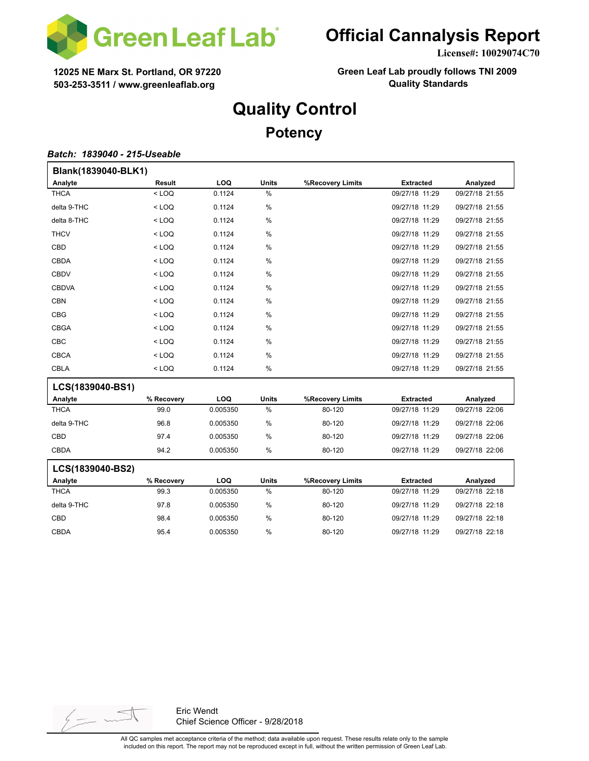

**License#: 10029074C70**

**12025 NE Marx St. Portland, OR 97220 503-253-3511 / www.greenleaflab.org**

**Green Leaf Lab proudly follows TNI 2009 Quality Standards**

## **Quality Control**

### **Potency**

#### *Batch: 1839040 - 215-Useable*

| Blank(1839040-BLK1) |            |          |               |                  |                  |                |
|---------------------|------------|----------|---------------|------------------|------------------|----------------|
| Analyte             | Result     | LOQ      | <b>Units</b>  | %Recovery Limits | <b>Extracted</b> | Analyzed       |
| <b>THCA</b>         | $<$ LOQ    | 0.1124   | $\frac{0}{0}$ |                  | 09/27/18 11:29   | 09/27/18 21:55 |
| delta 9-THC         | $<$ LOQ    | 0.1124   | %             |                  | 09/27/18 11:29   | 09/27/18 21:55 |
| delta 8-THC         | $<$ LOQ    | 0.1124   | %             |                  | 09/27/18 11:29   | 09/27/18 21:55 |
| <b>THCV</b>         | $<$ LOQ    | 0.1124   | %             |                  | 09/27/18 11:29   | 09/27/18 21:55 |
| CBD                 | $<$ LOQ    | 0.1124   | %             |                  | 09/27/18 11:29   | 09/27/18 21:55 |
| CBDA                | $<$ LOQ    | 0.1124   | %             |                  | 09/27/18 11:29   | 09/27/18 21:55 |
| <b>CBDV</b>         | $<$ LOQ    | 0.1124   | $\%$          |                  | 09/27/18 11:29   | 09/27/18 21:55 |
| <b>CBDVA</b>        | $<$ LOQ    | 0.1124   | %             |                  | 09/27/18 11:29   | 09/27/18 21:55 |
| <b>CBN</b>          | $<$ LOQ    | 0.1124   | %             |                  | 09/27/18 11:29   | 09/27/18 21:55 |
| <b>CBG</b>          | $<$ LOQ    | 0.1124   | $\%$          |                  | 09/27/18 11:29   | 09/27/18 21:55 |
| <b>CBGA</b>         | $<$ LOQ    | 0.1124   | $\%$          |                  | 09/27/18 11:29   | 09/27/18 21:55 |
| CBC                 | $<$ LOQ    | 0.1124   | $\%$          |                  | 09/27/18 11:29   | 09/27/18 21:55 |
| <b>CBCA</b>         | $<$ LOQ    | 0.1124   | $\%$          |                  | 09/27/18 11:29   | 09/27/18 21:55 |
| <b>CBLA</b>         | $<$ LOQ    | 0.1124   | %             |                  | 09/27/18 11:29   | 09/27/18 21:55 |
| LCS(1839040-BS1)    |            |          |               |                  |                  |                |
| Analyte             | % Recovery | LOQ      | <b>Units</b>  | %Recovery Limits | <b>Extracted</b> | Analyzed       |
| <b>THCA</b>         | 99.0       | 0.005350 | %             | 80-120           | 09/27/18 11:29   | 09/27/18 22:06 |
| delta 9-THC         | 96.8       | 0.005350 | $\%$          | 80-120           | 09/27/18 11:29   | 09/27/18 22:06 |
| <b>CBD</b>          | 97.4       | 0.005350 | %             | 80-120           | 09/27/18 11:29   | 09/27/18 22:06 |
| <b>CBDA</b>         | 94.2       | 0.005350 | %             | 80-120           | 09/27/18 11:29   | 09/27/18 22:06 |
| LCS(1839040-BS2)    |            |          |               |                  |                  |                |
| Analyte             | % Recovery | LOQ      | <b>Units</b>  | %Recovery Limits | <b>Extracted</b> | Analyzed       |
| <b>THCA</b>         | 99.3       | 0.005350 | $\frac{0}{0}$ | 80-120           | 09/27/18 11:29   | 09/27/18 22:18 |
| delta 9-THC         | 97.8       | 0.005350 | %             | 80-120           | 09/27/18 11:29   | 09/27/18 22:18 |
| CBD                 | 98.4       | 0.005350 | $\frac{0}{0}$ | 80-120           | 09/27/18 11:29   | 09/27/18 22:18 |
| <b>CBDA</b>         | 95.4       | 0.005350 | %             | 80-120           | 09/27/18 11:29   | 09/27/18 22:18 |

 $\frac{1}{2}$  -

Eric Wendt Chief Science Officer - 9/28/2018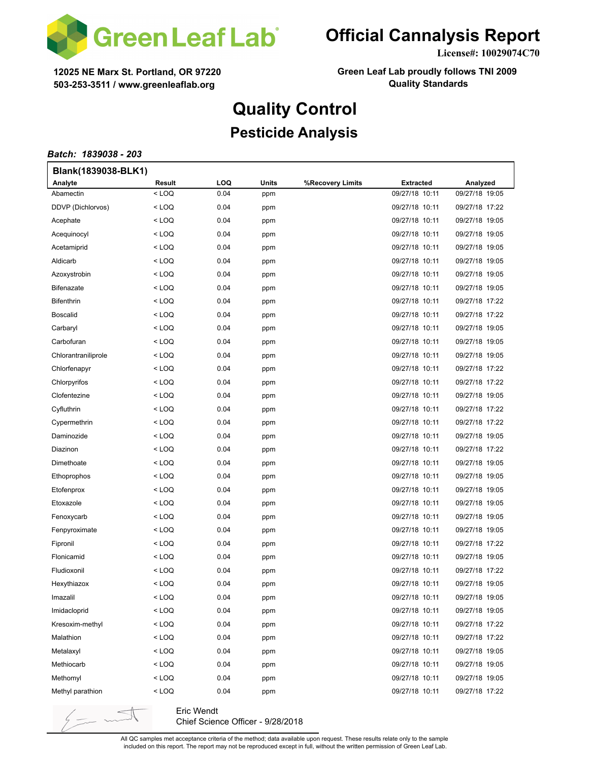

**License#: 10029074C70**

**12025 NE Marx St. Portland, OR 97220 503-253-3511 / www.greenleaflab.org**

**Green Leaf Lab proudly follows TNI 2009 Quality Standards**

# **Quality Control**

### **Pesticide Analysis**

#### *Batch: 1839038 - 203*

 $\frac{1}{2}$  -

| Blank(1839038-BLK1) |                                                                                                     |            |       |                  |                  |                |
|---------------------|-----------------------------------------------------------------------------------------------------|------------|-------|------------------|------------------|----------------|
| Analyte             | Result                                                                                              | <b>LOQ</b> | Units | %Recovery Limits | <b>Extracted</b> | Analyzed       |
| Abamectin           | <loq< td=""><td>0.04</td><td>ppm</td><td></td><td>09/27/18 10:11</td><td>09/27/18 19:05</td></loq<> | 0.04       | ppm   |                  | 09/27/18 10:11   | 09/27/18 19:05 |
| DDVP (Dichlorvos)   | < LOQ                                                                                               | 0.04       | ppm   |                  | 09/27/18 10:11   | 09/27/18 17:22 |
| Acephate            | < LOQ                                                                                               | 0.04       | ppm   |                  | 09/27/18 10:11   | 09/27/18 19:05 |
| Acequinocyl         | < LOQ                                                                                               | 0.04       | ppm   |                  | 09/27/18 10:11   | 09/27/18 19:05 |
| Acetamiprid         | < LOQ                                                                                               | 0.04       | ppm   |                  | 09/27/18 10:11   | 09/27/18 19:05 |
| Aldicarb            | < LOQ                                                                                               | 0.04       | ppm   |                  | 09/27/18 10:11   | 09/27/18 19:05 |
| Azoxystrobin        | < LOQ                                                                                               | 0.04       | ppm   |                  | 09/27/18 10:11   | 09/27/18 19:05 |
| <b>Bifenazate</b>   | < LOQ                                                                                               | 0.04       | ppm   |                  | 09/27/18 10:11   | 09/27/18 19:05 |
| <b>Bifenthrin</b>   | < LOQ                                                                                               | 0.04       | ppm   |                  | 09/27/18 10:11   | 09/27/18 17:22 |
| <b>Boscalid</b>     | < LOQ                                                                                               | 0.04       | ppm   |                  | 09/27/18 10:11   | 09/27/18 17:22 |
| Carbaryl            | < LOQ                                                                                               | 0.04       | ppm   |                  | 09/27/18 10:11   | 09/27/18 19:05 |
| Carbofuran          | < LOQ                                                                                               | 0.04       | ppm   |                  | 09/27/18 10:11   | 09/27/18 19:05 |
| Chlorantraniliprole | < LOQ                                                                                               | 0.04       | ppm   |                  | 09/27/18 10:11   | 09/27/18 19:05 |
| Chlorfenapyr        | < LOQ                                                                                               | 0.04       | ppm   |                  | 09/27/18 10:11   | 09/27/18 17:22 |
| Chlorpyrifos        | < LOQ                                                                                               | 0.04       | ppm   |                  | 09/27/18 10:11   | 09/27/18 17:22 |
| Clofentezine        | < LOQ                                                                                               | 0.04       | ppm   |                  | 09/27/18 10:11   | 09/27/18 19:05 |
| Cyfluthrin          | < LOQ                                                                                               | 0.04       | ppm   |                  | 09/27/18 10:11   | 09/27/18 17:22 |
| Cypermethrin        | < LOQ                                                                                               | 0.04       | ppm   |                  | 09/27/18 10:11   | 09/27/18 17:22 |
| Daminozide          | < LOQ                                                                                               | 0.04       | ppm   |                  | 09/27/18 10:11   | 09/27/18 19:05 |
| Diazinon            | < LOQ                                                                                               | 0.04       | ppm   |                  | 09/27/18 10:11   | 09/27/18 17:22 |
| Dimethoate          | < LOQ                                                                                               | 0.04       | ppm   |                  | 09/27/18 10:11   | 09/27/18 19:05 |
| Ethoprophos         | < LOQ                                                                                               | 0.04       | ppm   |                  | 09/27/18 10:11   | 09/27/18 19:05 |
| Etofenprox          | < LOQ                                                                                               | 0.04       | ppm   |                  | 09/27/18 10:11   | 09/27/18 19:05 |
| Etoxazole           | < LOQ                                                                                               | 0.04       | ppm   |                  | 09/27/18 10:11   | 09/27/18 19:05 |
| Fenoxycarb          | < LOQ                                                                                               | 0.04       | ppm   |                  | 09/27/18 10:11   | 09/27/18 19:05 |
| Fenpyroximate       | < LOQ                                                                                               | 0.04       | ppm   |                  | 09/27/18 10:11   | 09/27/18 19:05 |
| Fipronil            | < LOQ                                                                                               | 0.04       | ppm   |                  | 09/27/18 10:11   | 09/27/18 17:22 |
| Flonicamid          | < LOQ                                                                                               | 0.04       | ppm   |                  | 09/27/18 10:11   | 09/27/18 19:05 |
| Fludioxonil         | < LOQ                                                                                               | 0.04       | ppm   |                  | 09/27/18 10:11   | 09/27/18 17:22 |
| Hexythiazox         | < LOQ                                                                                               | 0.04       | ppm   |                  | 09/27/18 10:11   | 09/27/18 19:05 |
| Imazalil            | $<$ LOQ                                                                                             | 0.04       | ppm   |                  | 09/27/18 10:11   | 09/27/18 19:05 |
| Imidacloprid        | < LOQ                                                                                               | 0.04       | ppm   |                  | 09/27/18 10:11   | 09/27/18 19:05 |
| Kresoxim-methyl     | $<$ LOQ                                                                                             | 0.04       | ppm   |                  | 09/27/18 10:11   | 09/27/18 17:22 |
| Malathion           | $<$ LOQ                                                                                             | 0.04       | ppm   |                  | 09/27/18 10:11   | 09/27/18 17:22 |
| Metalaxyl           | < LOQ                                                                                               | 0.04       | ppm   |                  | 09/27/18 10:11   | 09/27/18 19:05 |
| Methiocarb          | < LOQ                                                                                               | 0.04       | ppm   |                  | 09/27/18 10:11   | 09/27/18 19:05 |
| Methomyl            | < LOQ                                                                                               | 0.04       | ppm   |                  | 09/27/18 10:11   | 09/27/18 19:05 |
| Methyl parathion    | < LOQ                                                                                               | 0.04       | ppm   |                  | 09/27/18 10:11   | 09/27/18 17:22 |
|                     |                                                                                                     |            |       |                  |                  |                |

Eric Wendt Chief Science Officer - 9/28/2018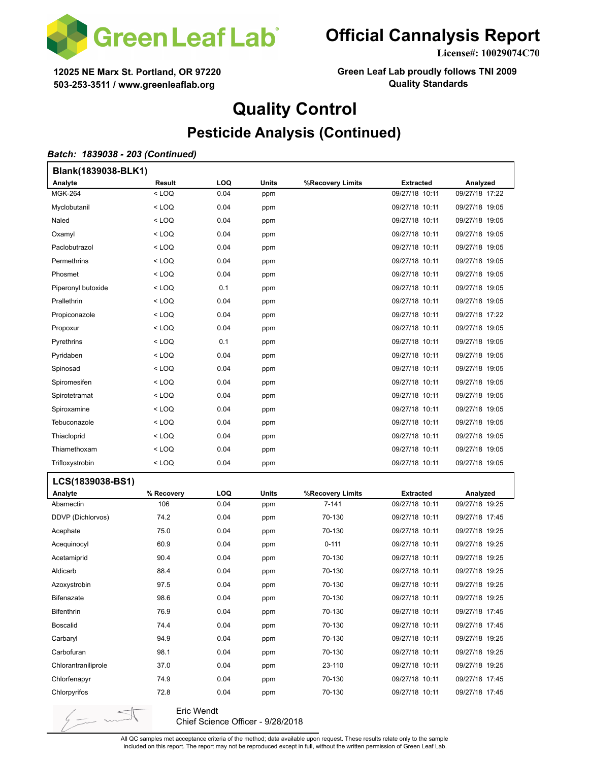

**License#: 10029074C70**

**12025 NE Marx St. Portland, OR 97220 503-253-3511 / www.greenleaflab.org**

**Green Leaf Lab proudly follows TNI 2009 Quality Standards**

# **Quality Control**

### **Pesticide Analysis (Continued)**

#### *Batch: 1839038 - 203 (Continued)*

 $\frac{1}{2}$   $\frac{1}{2}$   $\sim$ 

| Blank(1839038-BLK1) |               |      |       |                  |                |                |
|---------------------|---------------|------|-------|------------------|----------------|----------------|
| Analyte             | <b>Result</b> | LOQ  | Units | %Recovery Limits | Extracted      | Analyzed       |
| <b>MGK-264</b>      | $<$ LOQ       | 0.04 | ppm   |                  | 09/27/18 10:11 | 09/27/18 17:22 |
| Myclobutanil        | $<$ LOQ       | 0.04 | ppm   |                  | 09/27/18 10:11 | 09/27/18 19:05 |
| Naled               | $<$ LOQ       | 0.04 | ppm   |                  | 09/27/18 10:11 | 09/27/18 19:05 |
| Oxamyl              | $<$ LOQ       | 0.04 | ppm   |                  | 09/27/18 10:11 | 09/27/18 19:05 |
| Paclobutrazol       | $<$ LOQ       | 0.04 | ppm   |                  | 09/27/18 10:11 | 09/27/18 19:05 |
| Permethrins         | $<$ LOQ       | 0.04 | ppm   |                  | 09/27/18 10:11 | 09/27/18 19:05 |
| Phosmet             | $<$ LOQ       | 0.04 | ppm   |                  | 09/27/18 10:11 | 09/27/18 19:05 |
| Piperonyl butoxide  | $<$ LOQ       | 0.1  | ppm   |                  | 09/27/18 10:11 | 09/27/18 19:05 |
| Prallethrin         | $<$ LOQ       | 0.04 | ppm   |                  | 09/27/18 10:11 | 09/27/18 19:05 |
| Propiconazole       | $<$ LOQ       | 0.04 | ppm   |                  | 09/27/18 10:11 | 09/27/18 17:22 |
| Propoxur            | $<$ LOQ       | 0.04 | ppm   |                  | 09/27/18 10:11 | 09/27/18 19:05 |
| Pyrethrins          | $<$ LOQ       | 0.1  | ppm   |                  | 09/27/18 10:11 | 09/27/18 19:05 |
| Pyridaben           | $<$ LOQ       | 0.04 | ppm   |                  | 09/27/18 10:11 | 09/27/18 19:05 |
| Spinosad            | $<$ LOQ       | 0.04 | ppm   |                  | 09/27/18 10:11 | 09/27/18 19:05 |
| Spiromesifen        | $<$ LOQ       | 0.04 | ppm   |                  | 09/27/18 10:11 | 09/27/18 19:05 |
| Spirotetramat       | $<$ LOQ       | 0.04 | ppm   |                  | 09/27/18 10:11 | 09/27/18 19:05 |
| Spiroxamine         | $<$ LOQ       | 0.04 | ppm   |                  | 09/27/18 10:11 | 09/27/18 19:05 |
| Tebuconazole        | $<$ LOQ       | 0.04 | ppm   |                  | 09/27/18 10:11 | 09/27/18 19:05 |
| Thiacloprid         | $<$ LOQ       | 0.04 | ppm   |                  | 09/27/18 10:11 | 09/27/18 19:05 |
| Thiamethoxam        | $<$ LOQ       | 0.04 | ppm   |                  | 09/27/18 10:11 | 09/27/18 19:05 |
| Trifloxystrobin     | $<$ LOQ       | 0.04 | ppm   |                  | 09/27/18 10:11 | 09/27/18 19:05 |
| LCS(1839038-BS1)    |               |      |       |                  |                |                |
| Analyte             | % Recovery    | LOQ  | Units | %Recovery Limits | Extracted      | Analyzed       |
| Abamectin           | 106           | 0.04 | ppm   | $7 - 141$        | 09/27/18 10:11 | 09/27/18 19:25 |
| DDVP (Dichlorvos)   | 74.2          | 0.04 | ppm   | 70-130           | 09/27/18 10:11 | 09/27/18 17:45 |
| Acephate            | 75.0          | 0.04 | ppm   | 70-130           | 09/27/18 10:11 | 09/27/18 19:25 |
| Acequinocyl         | 60.9          | 0.04 | ppm   | $0 - 111$        | 09/27/18 10:11 | 09/27/18 19:25 |
| Acetamiprid         | 90.4          | 0.04 | ppm   | 70-130           | 09/27/18 10:11 | 09/27/18 19:25 |
| Aldicarb            | 88.4          | 0.04 | ppm   | 70-130           | 09/27/18 10:11 | 09/27/18 19:25 |
| Azoxystrobin        | 97.5          | 0.04 | ppm   | 70-130           | 09/27/18 10:11 | 09/27/18 19:25 |
| Bifenazate          | 98.6          | 0.04 | ppm   | 70-130           | 09/27/18 10:11 | 09/27/18 19:25 |
| <b>Bifenthrin</b>   | 76.9          | 0.04 | ppm   | 70-130           | 09/27/18 10:11 | 09/27/18 17:45 |
| <b>Boscalid</b>     | 74.4          | 0.04 | ppm   | 70-130           | 09/27/18 10:11 | 09/27/18 17:45 |
| Carbaryl            | 94.9          | 0.04 | ppm   | 70-130           | 09/27/18 10:11 | 09/27/18 19:25 |
| Carbofuran          | 98.1          | 0.04 | ppm   | 70-130           | 09/27/18 10:11 | 09/27/18 19:25 |
| Chlorantraniliprole | 37.0          | 0.04 | ppm   | 23-110           | 09/27/18 10:11 | 09/27/18 19:25 |
| Chlorfenapyr        | 74.9          | 0.04 | ppm   | 70-130           | 09/27/18 10:11 | 09/27/18 17:45 |
| Chlorpyrifos        | 72.8          | 0.04 | ppm   | 70-130           | 09/27/18 10:11 | 09/27/18 17:45 |

Eric Wendt Chief Science Officer - 9/28/2018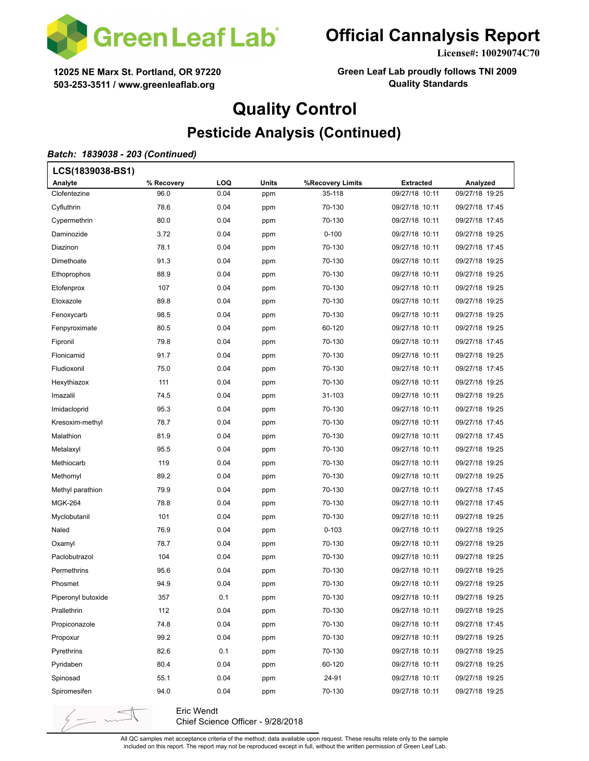

**License#: 10029074C70**

**12025 NE Marx St. Portland, OR 97220 503-253-3511 / www.greenleaflab.org**

**Green Leaf Lab proudly follows TNI 2009 Quality Standards**

# **Quality Control Pesticide Analysis (Continued)**

#### *Batch: 1839038 - 203 (Continued)*

| LCS(1839038-BS1)   |            |      |              |                  |                  |                |  |
|--------------------|------------|------|--------------|------------------|------------------|----------------|--|
| Analyte            | % Recovery | LOQ  | <b>Units</b> | %Recovery Limits | <b>Extracted</b> | Analyzed       |  |
| Clofentezine       | 96.0       | 0.04 | ppm          | 35-118           | 09/27/18 10:11   | 09/27/18 19:25 |  |
| Cyfluthrin         | 78.6       | 0.04 | ppm          | 70-130           | 09/27/18 10:11   | 09/27/18 17:45 |  |
| Cypermethrin       | 80.0       | 0.04 | ppm          | 70-130           | 09/27/18 10:11   | 09/27/18 17:45 |  |
| Daminozide         | 3.72       | 0.04 | ppm          | $0 - 100$        | 09/27/18 10:11   | 09/27/18 19:25 |  |
| Diazinon           | 78.1       | 0.04 | ppm          | 70-130           | 09/27/18 10:11   | 09/27/18 17:45 |  |
| Dimethoate         | 91.3       | 0.04 | ppm          | 70-130           | 09/27/18 10:11   | 09/27/18 19:25 |  |
| Ethoprophos        | 88.9       | 0.04 | ppm          | 70-130           | 09/27/18 10:11   | 09/27/18 19:25 |  |
| Etofenprox         | 107        | 0.04 | ppm          | 70-130           | 09/27/18 10:11   | 09/27/18 19:25 |  |
| Etoxazole          | 89.8       | 0.04 | ppm          | 70-130           | 09/27/18 10:11   | 09/27/18 19:25 |  |
| Fenoxycarb         | 98.5       | 0.04 | ppm          | 70-130           | 09/27/18 10:11   | 09/27/18 19:25 |  |
| Fenpyroximate      | 80.5       | 0.04 | ppm          | 60-120           | 09/27/18 10:11   | 09/27/18 19:25 |  |
| Fipronil           | 79.8       | 0.04 | ppm          | 70-130           | 09/27/18 10:11   | 09/27/18 17:45 |  |
| Flonicamid         | 91.7       | 0.04 | ppm          | 70-130           | 09/27/18 10:11   | 09/27/18 19:25 |  |
| Fludioxonil        | 75.0       | 0.04 | ppm          | 70-130           | 09/27/18 10:11   | 09/27/18 17:45 |  |
| Hexythiazox        | 111        | 0.04 | ppm          | 70-130           | 09/27/18 10:11   | 09/27/18 19:25 |  |
| Imazalil           | 74.5       | 0.04 | ppm          | 31-103           | 09/27/18 10:11   | 09/27/18 19:25 |  |
| Imidacloprid       | 95.3       | 0.04 | ppm          | 70-130           | 09/27/18 10:11   | 09/27/18 19:25 |  |
| Kresoxim-methyl    | 78.7       | 0.04 | ppm          | 70-130           | 09/27/18 10:11   | 09/27/18 17:45 |  |
| Malathion          | 81.9       | 0.04 | ppm          | 70-130           | 09/27/18 10:11   | 09/27/18 17:45 |  |
| Metalaxyl          | 95.5       | 0.04 | ppm          | 70-130           | 09/27/18 10:11   | 09/27/18 19:25 |  |
| Methiocarb         | 119        | 0.04 | ppm          | 70-130           | 09/27/18 10:11   | 09/27/18 19:25 |  |
| Methomyl           | 89.2       | 0.04 | ppm          | 70-130           | 09/27/18 10:11   | 09/27/18 19:25 |  |
| Methyl parathion   | 79.9       | 0.04 | ppm          | 70-130           | 09/27/18 10:11   | 09/27/18 17:45 |  |
| <b>MGK-264</b>     | 78.8       | 0.04 | ppm          | 70-130           | 09/27/18 10:11   | 09/27/18 17:45 |  |
| Myclobutanil       | 101        | 0.04 | ppm          | 70-130           | 09/27/18 10:11   | 09/27/18 19:25 |  |
| Naled              | 76.9       | 0.04 | ppm          | $0 - 103$        | 09/27/18 10:11   | 09/27/18 19:25 |  |
| Oxamyl             | 78.7       | 0.04 | ppm          | 70-130           | 09/27/18 10:11   | 09/27/18 19:25 |  |
| Paclobutrazol      | 104        | 0.04 | ppm          | 70-130           | 09/27/18 10:11   | 09/27/18 19:25 |  |
| Permethrins        | 95.6       | 0.04 | ppm          | 70-130           | 09/27/18 10:11   | 09/27/18 19:25 |  |
| Phosmet            | 94.9       | 0.04 | ppm          | 70-130           | 09/27/18 10:11   | 09/27/18 19:25 |  |
| Piperonyl butoxide | 357        | 0.1  | ppm          | 70-130           | 09/27/18 10:11   | 09/27/18 19:25 |  |
| Prallethrin        | 112        | 0.04 | ppm          | 70-130           | 09/27/18 10:11   | 09/27/18 19:25 |  |
| Propiconazole      | 74.8       | 0.04 | ppm          | 70-130           | 09/27/18 10:11   | 09/27/18 17:45 |  |
| Propoxur           | 99.2       | 0.04 | ppm          | 70-130           | 09/27/18 10:11   | 09/27/18 19:25 |  |
| Pyrethrins         | 82.6       | 0.1  | ppm          | 70-130           | 09/27/18 10:11   | 09/27/18 19:25 |  |
| Pyridaben          | 80.4       | 0.04 | ppm          | 60-120           | 09/27/18 10:11   | 09/27/18 19:25 |  |
| Spinosad           | 55.1       | 0.04 | ppm          | 24-91            | 09/27/18 10:11   | 09/27/18 19:25 |  |
| Spiromesifen       | 94.0       | 0.04 | ppm          | 70-130           | 09/27/18 10:11   | 09/27/18 19:25 |  |
|                    |            |      |              |                  |                  |                |  |

Eric Wendt Chief Science Officer - 9/28/2018

 $\frac{1}{2}$  -